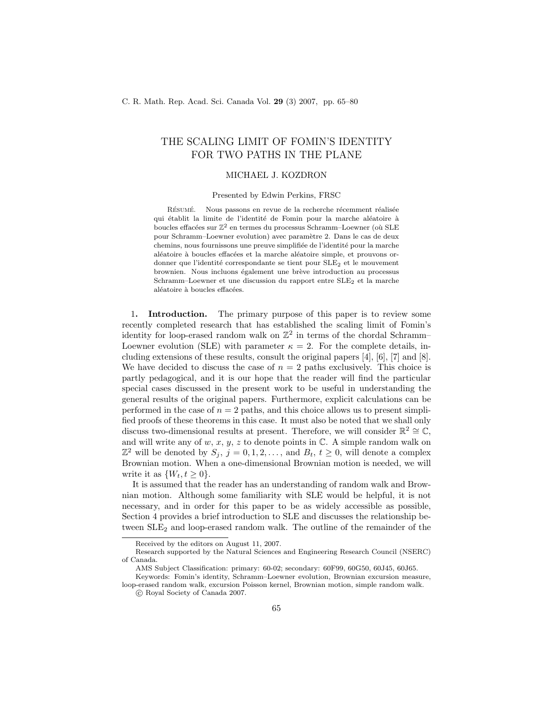# THE SCALING LIMIT OF FOMIN'S IDENTITY FOR TWO PATHS IN THE PLANE

# MICHAEL J. KOZDRON

#### Presented by Edwin Perkins, FRSC

RÉSUMÉ. Nous passons en revue de la recherche récemment réalisée qui établit la limite de l'identité de Fomin pour la marche aléatoire à boucles effacées sur  $\mathbb{Z}^2$  en termes du processus Schramm–Loewner (où SLE pour Schramm–Loewner evolution) avec paramètre 2. Dans le cas de deux chemins, nous fournissons une preuve simplifiée de l'identité pour la marche aléatoire à boucles effacées et la marche aléatoire simple, et prouvons ordonner que l'identité correspondante se tient pour  $SLE<sub>2</sub>$  et le mouvement brownien. Nous incluons également une brève introduction au processus Schramm–Loewner et une discussion du rapport entre SLE2 et la marche aléatoire à boucles effacées.

1. **Introduction.** The primary purpose of this paper is to review some recently completed research that has established the scaling limit of Fomin's identity for loop-erased random walk on  $\mathbb{Z}^2$  in terms of the chordal Schramm-Loewner evolution (SLE) with parameter  $\kappa = 2$ . For the complete details, including extensions of these results, consult the original papers [4], [6], [7] and [8]. We have decided to discuss the case of  $n = 2$  paths exclusively. This choice is partly pedagogical, and it is our hope that the reader will find the particular special cases discussed in the present work to be useful in understanding the general results of the original papers. Furthermore, explicit calculations can be performed in the case of  $n = 2$  paths, and this choice allows us to present simplified proofs of these theorems in this case. It must also be noted that we shall only discuss two-dimensional results at present. Therefore, we will consider  $\mathbb{R}^2 \cong \mathbb{C}$ , and will write any of  $w, x, y, z$  to denote points in  $\mathbb{C}$ . A simple random walk on  $\mathbb{Z}^2$  will be denoted by  $S_j$ ,  $j = 0, 1, 2, \ldots$ , and  $B_t$ ,  $t \geq 0$ , will denote a complex Brownian motion. When a one-dimensional Brownian motion is needed, we will write it as  $\{W_t, t \geq 0\}.$ 

It is assumed that the reader has an understanding of random walk and Brownian motion. Although some familiarity with SLE would be helpful, it is not necessary, and in order for this paper to be as widely accessible as possible, Section 4 provides a brief introduction to SLE and discusses the relationship between  $SLE<sub>2</sub>$  and loop-erased random walk. The outline of the remainder of the

Received by the editors on August 11, 2007.

Research supported by the Natural Sciences and Engineering Research Council (NSERC) of Canada.

AMS Subject Classification: primary: 60-02; secondary: 60F99, 60G50, 60J45, 60J65.

Keywords: Fomin's identity, Schramm–Loewner evolution, Brownian excursion measure, loop-erased random walk, excursion Poisson kernel, Brownian motion, simple random walk. c Royal Society of Canada 2007.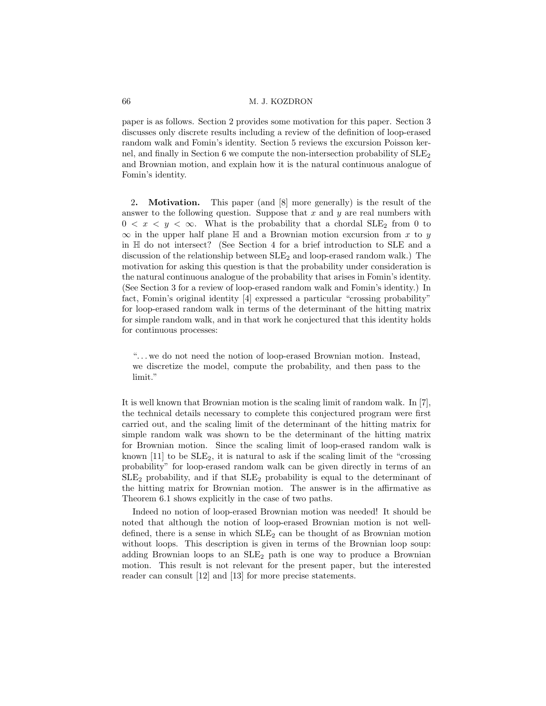paper is as follows. Section 2 provides some motivation for this paper. Section 3 discusses only discrete results including a review of the definition of loop-erased random walk and Fomin's identity. Section 5 reviews the excursion Poisson kernel, and finally in Section 6 we compute the non-intersection probability of  $SLE<sub>2</sub>$ and Brownian motion, and explain how it is the natural continuous analogue of Fomin's identity.

2. Motivation. This paper (and [8] more generally) is the result of the answer to the following question. Suppose that  $x$  and  $y$  are real numbers with  $0 < x < y < \infty$ . What is the probability that a chordal SLE<sub>2</sub> from 0 to  $\infty$  in the upper half plane H and a Brownian motion excursion from x to y in H do not intersect? (See Section 4 for a brief introduction to SLE and a discussion of the relationship between  $SLE_2$  and loop-erased random walk.) The motivation for asking this question is that the probability under consideration is the natural continuous analogue of the probability that arises in Fomin's identity. (See Section 3 for a review of loop-erased random walk and Fomin's identity.) In fact, Fomin's original identity [4] expressed a particular "crossing probability" for loop-erased random walk in terms of the determinant of the hitting matrix for simple random walk, and in that work he conjectured that this identity holds for continuous processes:

". . . we do not need the notion of loop-erased Brownian motion. Instead, we discretize the model, compute the probability, and then pass to the limit."

It is well known that Brownian motion is the scaling limit of random walk. In [7], the technical details necessary to complete this conjectured program were first carried out, and the scaling limit of the determinant of the hitting matrix for simple random walk was shown to be the determinant of the hitting matrix for Brownian motion. Since the scaling limit of loop-erased random walk is known [11] to be  $SLE_2$ , it is natural to ask if the scaling limit of the "crossing" probability" for loop-erased random walk can be given directly in terms of an  $SLE<sub>2</sub>$  probability, and if that  $SLE<sub>2</sub>$  probability is equal to the determinant of the hitting matrix for Brownian motion. The answer is in the affirmative as Theorem 6.1 shows explicitly in the case of two paths.

Indeed no notion of loop-erased Brownian motion was needed! It should be noted that although the notion of loop-erased Brownian motion is not welldefined, there is a sense in which  $SLE<sub>2</sub>$  can be thought of as Brownian motion without loops. This description is given in terms of the Brownian loop soup: adding Brownian loops to an  $SLE<sub>2</sub>$  path is one way to produce a Brownian motion. This result is not relevant for the present paper, but the interested reader can consult [12] and [13] for more precise statements.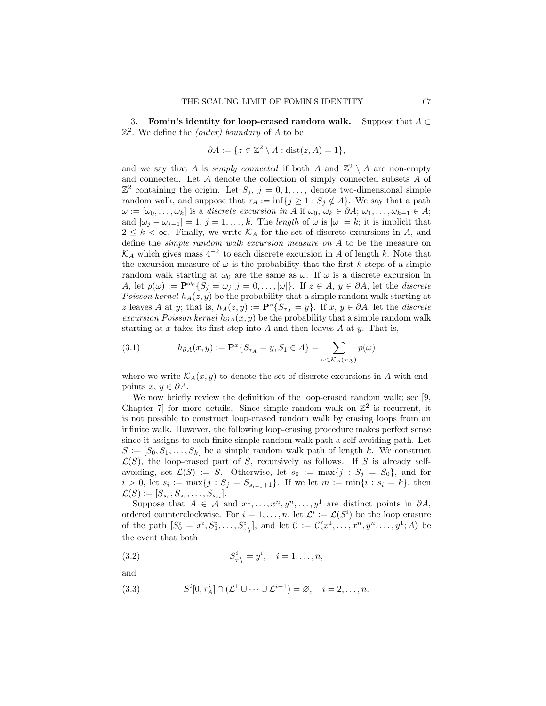3. Fomin's identity for loop-erased random walk. Suppose that  $A \subset$  $\mathbb{Z}^2$ . We define the *(outer)* boundary of A to be

$$
\partial A := \{ z \in \mathbb{Z}^2 \setminus A : \text{dist}(z, A) = 1 \},
$$

and we say that A is *simply connected* if both A and  $\mathbb{Z}^2 \setminus A$  are non-empty and connected. Let  $A$  denote the collection of simply connected subsets  $A$  of  $\mathbb{Z}^2$  containing the origin. Let  $S_j$ ,  $j = 0, 1, \ldots$ , denote two-dimensional simple random walk, and suppose that  $\tau_A := \inf\{j \geq 1 : S_j \notin A\}$ . We say that a path  $\omega := [\omega_0, \ldots, \omega_k]$  is a discrete excursion in A if  $\omega_0, \omega_k \in \partial A; \omega_1, \ldots, \omega_{k-1} \in A;$ and  $|\omega_j - \omega_{j-1}| = 1$ ,  $j = 1, \ldots, k$ . The length of  $\omega$  is  $|\omega| = k$ ; it is implicit that  $2 \leq k < \infty$ . Finally, we write  $\mathcal{K}_A$  for the set of discrete excursions in A, and define the simple random walk excursion measure on A to be the measure on  $\mathcal{K}_A$  which gives mass  $4^{-k}$  to each discrete excursion in A of length k. Note that the excursion measure of  $\omega$  is the probability that the first k steps of a simple random walk starting at  $\omega_0$  are the same as  $\omega$ . If  $\omega$  is a discrete excursion in A, let  $p(\omega) := \mathbf{P}^{\omega_0} \{ S_j = \omega_j, j = 0, \ldots, |\omega| \}.$  If  $z \in A, y \in \partial A$ , let the *discrete* Poisson kernel  $h_A(z, y)$  be the probability that a simple random walk starting at z leaves A at y; that is,  $h_A(z, y) := \mathbf{P}^z \{ S_{\tau_A} = y \}$ . If  $x, y \in \partial A$ , let the *discrete* excursion Poisson kernel  $h_{\partial A}(x, y)$  be the probability that a simple random walk starting at x takes its first step into  $A$  and then leaves  $A$  at  $y$ . That is,

(3.1) 
$$
h_{\partial A}(x, y) := \mathbf{P}^x \{ S_{\tau_A} = y, S_1 \in A \} = \sum_{\omega \in \mathcal{K}_A(x, y)} p(\omega)
$$

where we write  $\mathcal{K}_A(x, y)$  to denote the set of discrete excursions in A with endpoints  $x, y \in \partial A$ .

We now briefly review the definition of the loop-erased random walk; see [9, Chapter 7 for more details. Since simple random walk on  $\mathbb{Z}^2$  is recurrent, it is not possible to construct loop-erased random walk by erasing loops from an infinite walk. However, the following loop-erasing procedure makes perfect sense since it assigns to each finite simple random walk path a self-avoiding path. Let  $S := [S_0, S_1, \ldots, S_k]$  be a simple random walk path of length k. We construct  $\mathcal{L}(S)$ , the loop-erased part of S, recursively as follows. If S is already selfavoiding, set  $\mathcal{L}(S) := S$ . Otherwise, let  $s_0 := \max\{j : S_j = S_0\}$ , and for  $i > 0$ , let  $s_i := \max\{j : S_j = S_{s_{i-1}+1}\}\$ . If we let  $m := \min\{i : s_i = k\}$ , then  $\mathcal{L}(S) := [S_{s_0}, S_{s_1}, \ldots, S_{s_m}].$ 

Suppose that  $A \in \mathcal{A}$  and  $x^1, \ldots, x^n, y^n, \ldots, y^1$  are distinct points in  $\partial A$ , ordered counterclockwise. For  $i = 1, ..., n$ , let  $\mathcal{L}^i := \mathcal{L}(S^i)$  be the loop erasure of the path  $[S_0^i = x^i, S_1^i, \dots, S_{\tau_A^i}^i],$  and let  $C := C(x^1, \dots, x^n, y^n, \dots, y^1; A)$  be the event that both

(3.2) 
$$
S_{\tau_A^i}^i = y^i, \quad i = 1, \dots, n,
$$

and

(3.3) 
$$
S^{i}[0,\tau_{A}^{i}] \cap (\mathcal{L}^{1} \cup \cdots \cup \mathcal{L}^{i-1}) = \varnothing, \quad i = 2,\ldots,n.
$$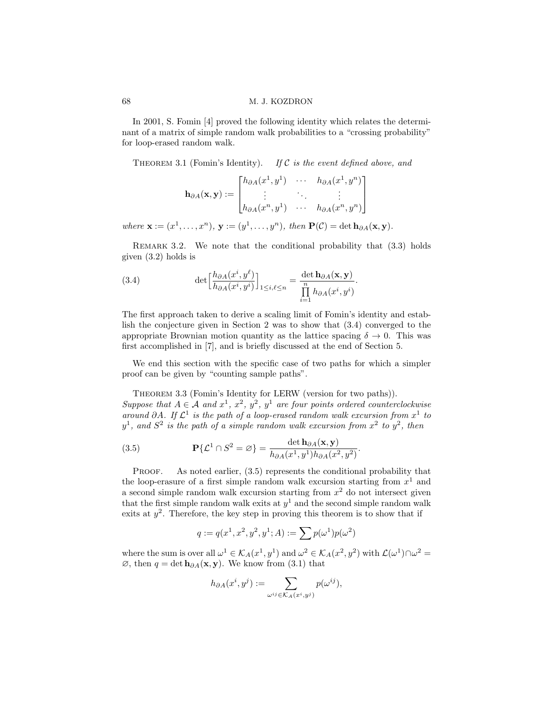In 2001, S. Fomin [4] proved the following identity which relates the determinant of a matrix of simple random walk probabilities to a "crossing probability" for loop-erased random walk.

THEOREM 3.1 (Fomin's Identity). If C is the event defined above, and

$$
\mathbf{h}_{\partial A}(\mathbf{x}, \mathbf{y}) := \begin{bmatrix} h_{\partial A}(x^1, y^1) & \cdots & h_{\partial A}(x^1, y^n) \\ \vdots & \ddots & \vdots \\ h_{\partial A}(x^n, y^1) & \cdots & h_{\partial A}(x^n, y^n) \end{bmatrix}
$$

where  $\mathbf{x} := (x^1, \dots, x^n), \mathbf{y} := (y^1, \dots, y^n), \text{ then } \mathbf{P}(\mathcal{C}) = \det \mathbf{h}_{\partial A}(\mathbf{x}, \mathbf{y}).$ 

REMARK 3.2. We note that the conditional probability that  $(3.3)$  holds given (3.2) holds is

(3.4) 
$$
\det \left[ \frac{h_{\partial A}(x^i, y^\ell)}{h_{\partial A}(x^i, y^i)} \right]_{1 \le i, \ell \le n} = \frac{\det \mathbf{h}_{\partial A}(\mathbf{x}, \mathbf{y})}{\prod\limits_{i=1}^n h_{\partial A}(x^i, y^i)}.
$$

The first approach taken to derive a scaling limit of Fomin's identity and establish the conjecture given in Section 2 was to show that (3.4) converged to the appropriate Brownian motion quantity as the lattice spacing  $\delta \to 0$ . This was first accomplished in [7], and is briefly discussed at the end of Section 5.

We end this section with the specific case of two paths for which a simpler proof can be given by "counting sample paths".

THEOREM 3.3 (Fomin's Identity for LERW (version for two paths)).

Suppose that  $A \in \mathcal{A}$  and  $x^1$ ,  $x^2$ ,  $y^2$ ,  $y^1$  are four points ordered counterclockwise around ∂A. If  $\mathcal{L}^1$  is the path of a loop-erased random walk excursion from  $x^1$  to  $y^1$ , and  $S^2$  is the path of a simple random walk excursion from  $x^2$  to  $y^2$ , then

(3.5) 
$$
\mathbf{P}\{\mathcal{L}^1 \cap S^2 = \varnothing\} = \frac{\det \mathbf{h}_{\partial A}(\mathbf{x}, \mathbf{y})}{h_{\partial A}(x^1, y^1)h_{\partial A}(x^2, y^2)}.
$$

PROOF. As noted earlier,  $(3.5)$  represents the conditional probability that the loop-erasure of a first simple random walk excursion starting from  $x^1$  and a second simple random walk excursion starting from  $x^2$  do not intersect given that the first simple random walk exits at  $y^1$  and the second simple random walk exits at  $y^2$ . Therefore, the key step in proving this theorem is to show that if

$$
q:=q(x^1,x^2,y^2,y^1;A):=\sum p(\omega^1)p(\omega^2)
$$

where the sum is over all  $\omega^1 \in \mathcal{K}_A(x^1, y^1)$  and  $\omega^2 \in \mathcal{K}_A(x^2, y^2)$  with  $\mathcal{L}(\omega^1) \cap \omega^2 =$  $\emptyset$ , then  $q = \det h_{\partial A}(\mathbf{x}, \mathbf{y})$ . We know from (3.1) that

$$
h_{\partial A}(x^i, y^j) := \sum_{\omega^{ij} \in \mathcal{K}_A(x^i, y^j)} p(\omega^{ij}),
$$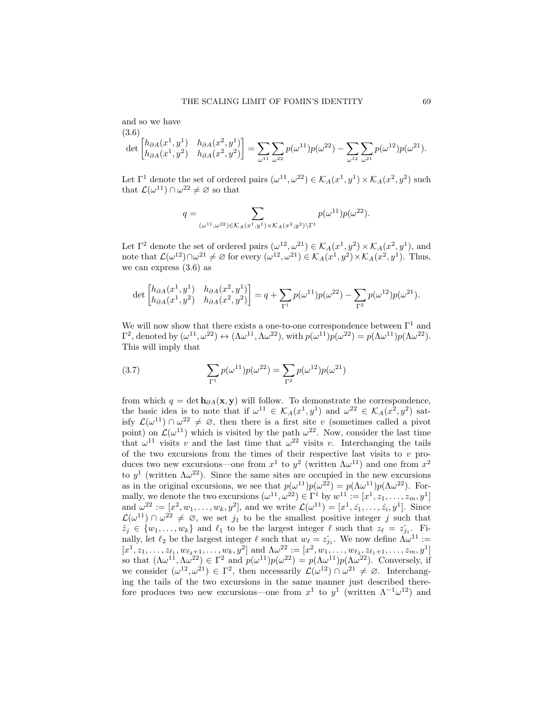and so we have (3.6)

$$
\det \begin{bmatrix} h_{\partial A}(x^1, y^1) & h_{\partial A}(x^2, y^1) \\ h_{\partial A}(x^1, y^2) & h_{\partial A}(x^2, y^2) \end{bmatrix} = \sum_{\omega^{11}} \sum_{\omega^{22}} p(\omega^{11}) p(\omega^{22}) - \sum_{\omega^{12}} \sum_{\omega^{21}} p(\omega^{12}) p(\omega^{21}).
$$

Let  $\Gamma^1$  denote the set of ordered pairs  $(\omega^{11}, \omega^{22}) \in \mathcal{K}_A(x^1, y^1) \times \mathcal{K}_A(x^2, y^2)$  such that  $\mathcal{L}(\omega^{11}) \cap \omega^{22} \neq \emptyset$  so that

$$
q = \sum_{(\omega^{11}, \omega^{22}) \in \mathcal{K}_A(x^1, y^1) \times \mathcal{K}_A(x^2, y^2) \backslash \Gamma^1} p(\omega^{11}) p(\omega^{22}).
$$

Let  $\Gamma^2$  denote the set of ordered pairs  $(\omega^{12}, \omega^{21}) \in \mathcal{K}_A(x^1, y^2) \times \mathcal{K}_A(x^2, y^1)$ , and note that  $\mathcal{L}(\omega^{12}) \cap \omega^{21} \neq \varnothing$  for every  $(\omega^{12}, \omega^{21}) \in \mathcal{K}_A(x^1, y^2) \times \mathcal{K}_A(x^2, y^1)$ . Thus, we can express (3.6) as

$$
\det \begin{bmatrix} h_{\partial A}(x^1, y^1) & h_{\partial A}(x^2, y^1) \\ h_{\partial A}(x^1, y^2) & h_{\partial A}(x^2, y^2) \end{bmatrix} = q + \sum_{\Gamma^1} p(\omega^{11}) p(\omega^{22}) - \sum_{\Gamma^2} p(\omega^{12}) p(\omega^{21}).
$$

We will now show that there exists a one-to-one correspondence between  $\Gamma^1$  and  $\Gamma^2$ , denoted by  $(\omega^{11}, \omega^{22}) \leftrightarrow (\Lambda \omega^{11}, \Lambda \omega^{22})$ , with  $p(\omega^{11})p(\omega^{22}) = p(\Lambda \omega^{11})p(\Lambda \omega^{22})$ . This will imply that

(3.7) 
$$
\sum_{\Gamma^1} p(\omega^{11}) p(\omega^{22}) = \sum_{\Gamma^2} p(\omega^{12}) p(\omega^{21})
$$

from which  $q = \det h_{\partial A}(x, y)$  will follow. To demonstrate the correspondence, the basic idea is to note that if  $\omega^{11} \in \mathcal{K}_A(x^1, y^1)$  and  $\omega^{22} \in \mathcal{K}_A(x^2, y^2)$  satisfy  $\mathcal{L}(\omega^{11}) \cap \omega^{22} \neq \emptyset$ , then there is a first site v (sometimes called a pivot point) on  $\mathcal{L}(\omega^{11})$  which is visited by the path  $\omega^{22}$ . Now, consider the last time that  $\omega^{11}$  visits v and the last time that  $\omega^{22}$  visits v. Interchanging the tails of the two excursions from the times of their respective last visits to  $v$  produces two new excursions—one from  $x^1$  to  $y^2$  (written  $\Lambda \omega^{11}$ ) and one from  $x^2$ to  $y^1$  (written  $\Lambda \omega^{22}$ ). Since the same sites are occupied in the new excursions as in the original excursions, we see that  $p(\omega^{11})p(\omega^{22}) = p(\Lambda \omega^{11})p(\Lambda \omega^{22})$ . Formally, we denote the two excursions  $(\omega^{11}, \omega^{22}) \in \Gamma^1$  by  $w^{11} := [x^1, z_1, \ldots, z_m, y^1]$ and  $\omega^{22} := [x^2, w_1, \dots, w_k, y^2]$ , and we write  $\mathcal{L}(\omega^{11}) = [x^1, \hat{z_1}, \dots, \hat{z_i}, y^1]$ . Since  $\mathcal{L}(\omega^{11}) \cap \omega^{22} \neq \emptyset$ , we set  $j_1$  to be the smallest positive integer j such that  $\hat{z}_j \in \{w_1, \ldots, w_k\}$  and  $\ell_1$  to be the largest integer  $\ell$  such that  $z_{\ell} = \hat{z}_{j_1}$ . Finally, let  $\ell_2$  be the largest integer  $\ell$  such that  $w_{\ell} = \hat{z}_{j_1}$ . We now define  $\Lambda \omega^{11}$  :=  $[x^1, z_1, \ldots, z_{\ell_1}, w_{\ell_2+1}, \ldots, w_k, y^2]$  and  $\Lambda \omega^{22} := [x^2, w_1, \ldots, w_{\ell_2}, z_{\ell_1+1}, \ldots, z_m, y^1]$ so that  $(\Lambda \omega^{11}, \Lambda \omega^{22}) \in \Gamma^2$  and  $p(\omega^{11})p(\omega^{22}) = p(\Lambda \omega^{11})p(\Lambda \omega^{22})$ . Conversely, if we consider  $(\omega^{12}, \omega^{21}) \in \Gamma^2$ , then necessarily  $\mathcal{L}(\omega^{12}) \cap \omega^{21} \neq \emptyset$ . Interchanging the tails of the two excursions in the same manner just described therefore produces two new excursions—one from  $x^1$  to  $y^1$  (written  $\Lambda^{-1}\omega^{12}$ ) and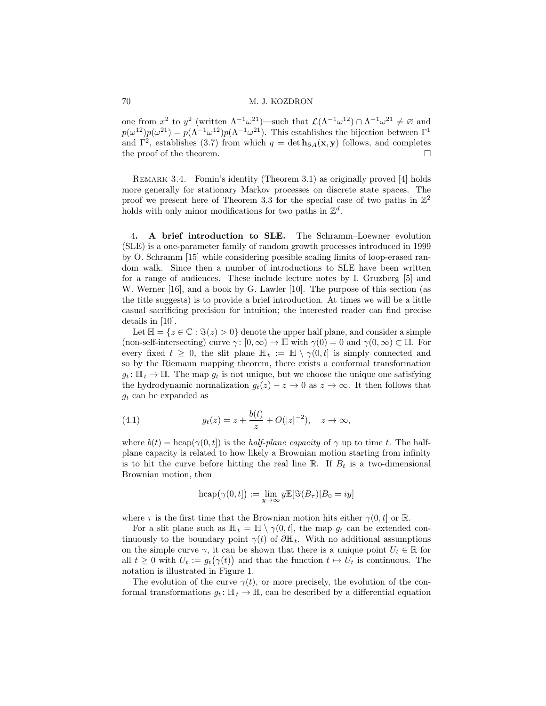one from  $x^2$  to  $y^2$  (written  $\Lambda^{-1}\omega^{21}$ )—such that  $\mathcal{L}(\Lambda^{-1}\omega^{12}) \cap \Lambda^{-1}\omega^{21} \neq \emptyset$  and  $p(\omega^{12})p(\omega^{21}) = p(\Lambda^{-1}\omega^{12})p(\Lambda^{-1}\omega^{21})$ . This establishes the bijection between  $\Gamma^1$ and  $\Gamma^2$ , establishes (3.7) from which  $q = \det h_{\partial A}(x, y)$  follows, and completes the proof of the theorem.  $\Box$ 

REMARK 3.4. Fomin's identity (Theorem 3.1) as originally proved [4] holds more generally for stationary Markov processes on discrete state spaces. The proof we present here of Theorem 3.3 for the special case of two paths in  $\mathbb{Z}^2$ holds with only minor modifications for two paths in  $\mathbb{Z}^d$ .

4. A brief introduction to SLE. The Schramm–Loewner evolution (SLE) is a one-parameter family of random growth processes introduced in 1999 by O. Schramm [15] while considering possible scaling limits of loop-erased random walk. Since then a number of introductions to SLE have been written for a range of audiences. These include lecture notes by I. Gruzberg [5] and W. Werner [16], and a book by G. Lawler [10]. The purpose of this section (as the title suggests) is to provide a brief introduction. At times we will be a little casual sacrificing precision for intuition; the interested reader can find precise details in [10].

Let  $\mathbb{H} = \{z \in \mathbb{C} : \Im(z) > 0\}$  denote the upper half plane, and consider a simple (non-self-intersecting) curve  $\gamma: [0, \infty) \to \overline{\mathbb{H}}$  with  $\gamma(0) = 0$  and  $\gamma(0, \infty) \subset \mathbb{H}$ . For every fixed  $t \geq 0$ , the slit plane  $\mathbb{H}_t := \mathbb{H} \setminus \gamma(0, t]$  is simply connected and so by the Riemann mapping theorem, there exists a conformal transformation  $g_t: \mathbb{H}_t \to \mathbb{H}$ . The map  $g_t$  is not unique, but we choose the unique one satisfying the hydrodynamic normalization  $g_t(z) - z \to 0$  as  $z \to \infty$ . It then follows that  $g_t$  can be expanded as

(4.1) 
$$
g_t(z) = z + \frac{b(t)}{z} + O(|z|^{-2}), \quad z \to \infty,
$$

where  $b(t) = \text{hcap}(\gamma(0, t))$  is the *half-plane capacity* of  $\gamma$  up to time t. The halfplane capacity is related to how likely a Brownian motion starting from infinity is to hit the curve before hitting the real line  $\mathbb{R}$ . If  $B_t$  is a two-dimensional Brownian motion, then

$$
{\rm hcap}\big(\gamma(0,t]\big):=\lim_{y\to\infty}y\mathbb{E}[\Im(B_\tau)|B_0=iy]
$$

where  $\tau$  is the first time that the Brownian motion hits either  $\gamma(0, t]$  or R.

For a slit plane such as  $\mathbb{H}_t = \mathbb{H} \setminus \gamma(0, t]$ , the map  $g_t$  can be extended continuously to the boundary point  $\gamma(t)$  of  $\partial \mathbb{H}_t$ . With no additional assumptions on the simple curve  $\gamma$ , it can be shown that there is a unique point  $U_t \in \mathbb{R}$  for all  $t \geq 0$  with  $U_t := g_t(\gamma(t))$  and that the function  $t \mapsto U_t$  is continuous. The notation is illustrated in Figure 1.

The evolution of the curve  $\gamma(t)$ , or more precisely, the evolution of the conformal transformations  $g_t: \mathbb{H}_t \to \mathbb{H}$ , can be described by a differential equation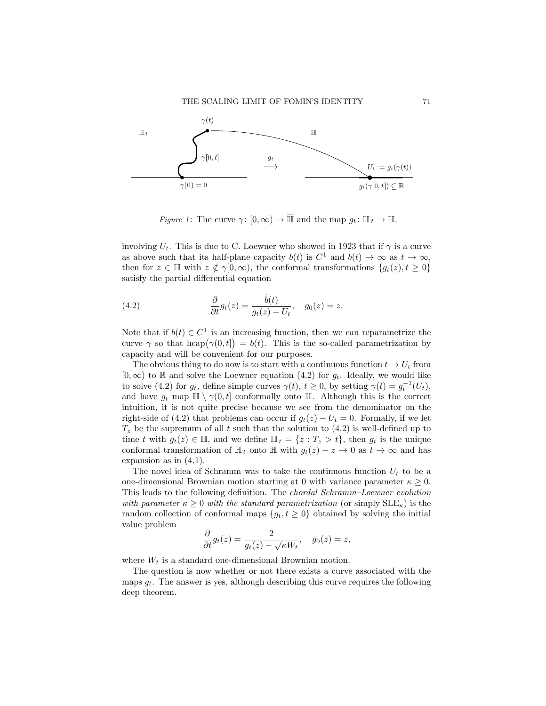

*Figure 1*: The curve  $\gamma: [0, \infty) \to \overline{\mathbb{H}}$  and the map  $g_t: \mathbb{H}_t \to \mathbb{H}$ .

involving  $U_t$ . This is due to C. Loewner who showed in 1923 that if  $\gamma$  is a curve as above such that its half-plane capacity  $b(t)$  is  $C^1$  and  $b(t) \to \infty$  as  $t \to \infty$ , then for  $z \in \mathbb{H}$  with  $z \notin \gamma[0,\infty)$ , the conformal transformations  $\{g_t(z), t \geq 0\}$ satisfy the partial differential equation

(4.2) 
$$
\frac{\partial}{\partial t}g_t(z) = \frac{\dot{b}(t)}{g_t(z) - U_t}, \quad g_0(z) = z.
$$

Note that if  $b(t) \in C^1$  is an increasing function, then we can reparametrize the curve  $\gamma$  so that hcap $(\gamma(0,t]) = b(t)$ . This is the so-called parametrization by capacity and will be convenient for our purposes.

The obvious thing to do now is to start with a continuous function  $t \mapsto U_t$  from  $[0,\infty)$  to R and solve the Loewner equation (4.2) for  $g_t$ . Ideally, we would like to solve (4.2) for  $g_t$ , define simple curves  $\gamma(t)$ ,  $t \ge 0$ , by setting  $\gamma(t) = g_t^{-1}(U_t)$ , and have  $g_t$  map  $\mathbb{H} \setminus \gamma(0, t]$  conformally onto  $\mathbb{H}$ . Although this is the correct intuition, it is not quite precise because we see from the denominator on the right-side of (4.2) that problems can occur if  $g_t(z) - U_t = 0$ . Formally, if we let  $T<sub>z</sub>$  be the supremum of all t such that the solution to (4.2) is well-defined up to time t with  $g_t(z) \in \mathbb{H}$ , and we define  $\mathbb{H}_t = \{z : T_z > t\}$ , then  $g_t$  is the unique conformal transformation of  $\mathbb{H}_t$  onto  $\mathbb{H}$  with  $g_t(z) - z \to 0$  as  $t \to \infty$  and has expansion as in (4.1).

The novel idea of Schramm was to take the continuous function  $U_t$  to be a one-dimensional Brownian motion starting at 0 with variance parameter  $\kappa > 0$ . This leads to the following definition. The chordal Schramm–Loewner evolution with parameter  $\kappa \geq 0$  with the standard parametrization (or simply  $\text{SLE}_{\kappa}$ ) is the random collection of conformal maps  $\{g_t, t \geq 0\}$  obtained by solving the initial value problem

$$
\frac{\partial}{\partial t}g_t(z) = \frac{2}{g_t(z) - \sqrt{\kappa}W_t}, \quad g_0(z) = z,
$$

where  $W_t$  is a standard one-dimensional Brownian motion.

The question is now whether or not there exists a curve associated with the maps  $g_t$ . The answer is yes, although describing this curve requires the following deep theorem.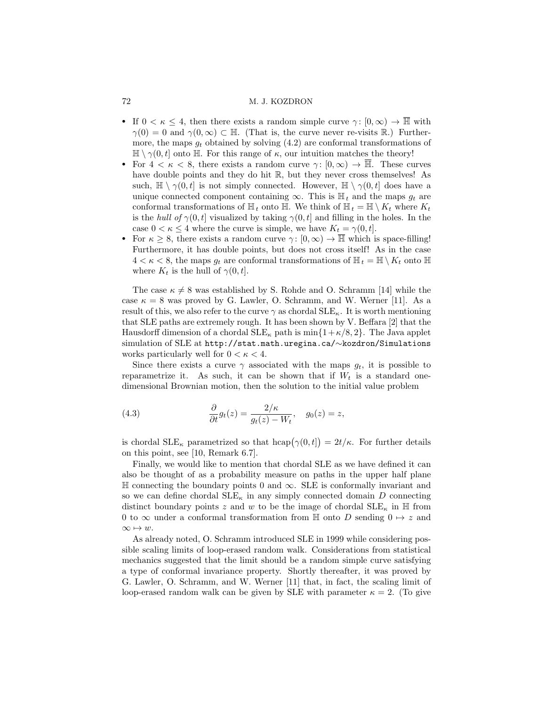- If  $0 < \kappa \leq 4$ , then there exists a random simple curve  $\gamma : [0, \infty) \to \overline{\mathbb{H}}$  with  $\gamma(0) = 0$  and  $\gamma(0, \infty) \subset \mathbb{H}$ . (That is, the curve never re-visits R.) Furthermore, the maps  $g_t$  obtained by solving  $(4.2)$  are conformal transformations of  $\mathbb{H} \setminus \gamma(0, t]$  onto  $\mathbb{H}$ . For this range of  $\kappa$ , our intuition matches the theory!
- For  $4 < \kappa < 8$ , there exists a random curve  $\gamma: [0, \infty) \to \overline{\mathbb{H}}$ . These curves have double points and they do hit R, but they never cross themselves! As such,  $\mathbb{H} \setminus \gamma(0, t]$  is not simply connected. However,  $\mathbb{H} \setminus \gamma(0, t]$  does have a unique connected component containing  $\infty$ . This is  $\mathbb{H}_t$  and the maps  $g_t$  are conformal transformations of  $\mathbb{H}_t$  onto  $\mathbb{H}$ . We think of  $\mathbb{H}_t = \mathbb{H} \setminus K_t$  where  $K_t$ is the hull of  $\gamma(0, t]$  visualized by taking  $\gamma(0, t]$  and filling in the holes. In the case  $0 < \kappa \leq 4$  where the curve is simple, we have  $K_t = \gamma(0, t]$ .
- For  $\kappa \geq 8$ , there exists a random curve  $\gamma: [0, \infty) \to \mathbb{H}$  which is space-filling! Furthermore, it has double points, but does not cross itself! As in the case  $4 < \kappa < 8$ , the maps  $g_t$  are conformal transformations of  $\mathbb{H}_t = \mathbb{H} \setminus K_t$  onto  $\mathbb{H}$ where  $K_t$  is the hull of  $\gamma(0, t]$ .

The case  $\kappa \neq 8$  was established by S. Rohde and O. Schramm [14] while the case  $\kappa = 8$  was proved by G. Lawler, O. Schramm, and W. Werner [11]. As a result of this, we also refer to the curve  $\gamma$  as chordal  $\text{SLE}_\kappa$ . It is worth mentioning that SLE paths are extremely rough. It has been shown by V. Beffara [2] that the Hausdorff dimension of a chordal  $SLE_{\kappa}$  path is min $\{1+\kappa/8, 2\}$ . The Java applet simulation of SLE at http://stat.math.uregina.ca/∼kozdron/Simulations works particularly well for  $0 < \kappa < 4$ .

Since there exists a curve  $\gamma$  associated with the maps  $g_t$ , it is possible to reparametrize it. As such, it can be shown that if  $W_t$  is a standard onedimensional Brownian motion, then the solution to the initial value problem

(4.3) 
$$
\frac{\partial}{\partial t}g_t(z) = \frac{2/\kappa}{g_t(z) - W_t}, \quad g_0(z) = z,
$$

is chordal  $\text{SLE}_{\kappa}$  parametrized so that  $\text{hcap}(\gamma(0,t]) = 2t/\kappa$ . For further details on this point, see [10, Remark 6.7].

Finally, we would like to mention that chordal SLE as we have defined it can also be thought of as a probability measure on paths in the upper half plane <sup>H</sup> connecting the boundary points 0 and <sup>∞</sup>. SLE is conformally invariant and so we can define chordal  $\text{SLE}_\kappa$  in any simply connected domain D connecting distinct boundary points z and w to be the image of chordal  $SLE_{\kappa}$  in  $\mathbb{H}$  from 0 to  $\infty$  under a conformal transformation from  $\mathbb H$  onto D sending  $0 \mapsto z$  and  $\infty \mapsto w.$ 

As already noted, O. Schramm introduced SLE in 1999 while considering possible scaling limits of loop-erased random walk. Considerations from statistical mechanics suggested that the limit should be a random simple curve satisfying a type of conformal invariance property. Shortly thereafter, it was proved by G. Lawler, O. Schramm, and W. Werner [11] that, in fact, the scaling limit of loop-erased random walk can be given by SLE with parameter  $\kappa = 2$ . (To give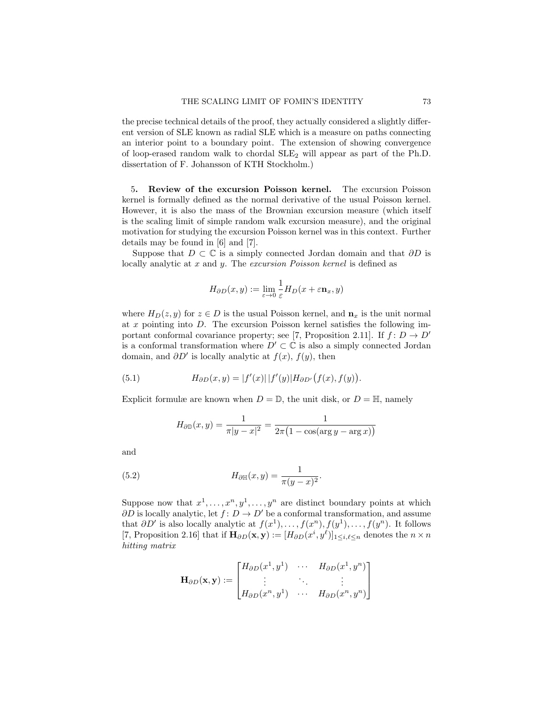the precise technical details of the proof, they actually considered a slightly different version of SLE known as radial SLE which is a measure on paths connecting an interior point to a boundary point. The extension of showing convergence of loop-erased random walk to chordal  $SLE<sub>2</sub>$  will appear as part of the Ph.D. dissertation of F. Johansson of KTH Stockholm.)

5. Review of the excursion Poisson kernel. The excursion Poisson kernel is formally defined as the normal derivative of the usual Poisson kernel. However, it is also the mass of the Brownian excursion measure (which itself is the scaling limit of simple random walk excursion measure), and the original motivation for studying the excursion Poisson kernel was in this context. Further details may be found in [6] and [7].

Suppose that  $D \subset \mathbb{C}$  is a simply connected Jordan domain and that  $\partial D$  is locally analytic at x and y. The excursion Poisson kernel is defined as

$$
H_{\partial D}(x,y) := \lim_{\varepsilon \to 0} \frac{1}{\varepsilon} H_D(x + \varepsilon \mathbf{n}_x, y)
$$

where  $H_D(z, y)$  for  $z \in D$  is the usual Poisson kernel, and  $\mathbf{n}_x$  is the unit normal at  $x$  pointing into  $D$ . The excursion Poisson kernel satisfies the following important conformal covariance property; see [7, Proposition 2.11]. If  $f: D \to D'$ is a conformal transformation where  $D' \subset \mathbb{C}$  is also a simply connected Jordan domain, and  $\partial D'$  is locally analytic at  $f(x)$ ,  $f(y)$ , then

(5.1) 
$$
H_{\partial D}(x,y) = |f'(x)| |f'(y)| H_{\partial D'}(f(x), f(y)).
$$

Explicit formulæ are known when  $D = \mathbb{D}$ , the unit disk, or  $D = \mathbb{H}$ , namely

$$
H_{\partial \mathbb{D}}(x, y) = \frac{1}{\pi |y - x|^2} = \frac{1}{2\pi (1 - \cos(\arg y - \arg x))}
$$

and

(5.2) 
$$
H_{\partial \mathbb{H}}(x, y) = \frac{1}{\pi (y - x)^2}.
$$

Suppose now that  $x^1, \ldots, x^n, y^1, \ldots, y^n$  are distinct boundary points at which  $\partial D$  is locally analytic, let  $f: D \to D'$  be a conformal transformation, and assume that  $\partial D'$  is also locally analytic at  $f(x^1), \ldots, f(x^n), f(y^1), \ldots, f(y^n)$ . It follows [7, Proposition 2.16] that if  $\mathbf{H}_{\partial D}(\mathbf{x}, \mathbf{y}) := [H_{\partial D}(x^i, y^{\ell})]_{1 \leq i,\ell \leq n}$  denotes the  $n \times n$ hitting matrix

$$
\mathbf{H}_{\partial D}(\mathbf{x}, \mathbf{y}) := \begin{bmatrix} H_{\partial D}(x^1, y^1) & \cdots & H_{\partial D}(x^1, y^n) \\ \vdots & \ddots & \vdots \\ H_{\partial D}(x^n, y^1) & \cdots & H_{\partial D}(x^n, y^n) \end{bmatrix}
$$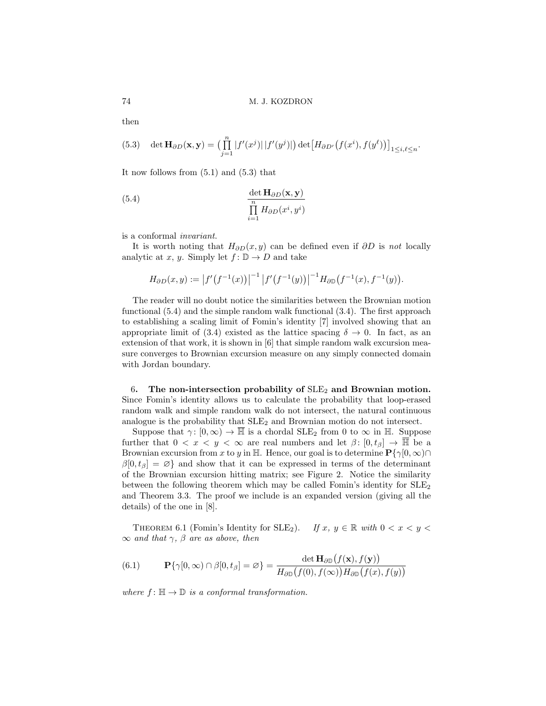then

(5.3) 
$$
\det \mathbf{H}_{\partial D}(\mathbf{x}, \mathbf{y}) = \left( \prod_{j=1}^n |f'(x^j)| |f'(y^j)| \right) \det \left[ H_{\partial D'}(f(x^i), f(y^{\ell})) \right]_{1 \le i, \ell \le n}.
$$

It now follows from (5.1) and (5.3) that

(5.4) 
$$
\frac{\det \mathbf{H}_{\partial D}(\mathbf{x}, \mathbf{y})}{\prod\limits_{i=1}^{n} H_{\partial D}(x^{i}, y^{i})}
$$

is a conformal invariant.

It is worth noting that  $H_{\partial D}(x, y)$  can be defined even if  $\partial D$  is not locally analytic at x, y. Simply let  $f: \mathbb{D} \to D$  and take

$$
H_{\partial D}(x,y) := |f'(f^{-1}(x))|^{-1} |f'(f^{-1}(y))|^{-1} H_{\partial D}(f^{-1}(x), f^{-1}(y)).
$$

The reader will no doubt notice the similarities between the Brownian motion functional (5.4) and the simple random walk functional (3.4). The first approach to establishing a scaling limit of Fomin's identity [7] involved showing that an appropriate limit of (3.4) existed as the lattice spacing  $\delta \to 0$ . In fact, as an extension of that work, it is shown in [6] that simple random walk excursion measure converges to Brownian excursion measure on any simply connected domain with Jordan boundary.

6. The non-intersection probability of  $SLE<sub>2</sub>$  and Brownian motion. Since Fomin's identity allows us to calculate the probability that loop-erased random walk and simple random walk do not intersect, the natural continuous analogue is the probability that  $SLE<sub>2</sub>$  and Brownian motion do not intersect.

Suppose that  $\gamma: [0, \infty) \to \overline{\mathbb{H}}$  is a chordal SLE<sub>2</sub> from 0 to  $\infty$  in  $\mathbb{H}$ . Suppose further that  $0 < x < y < \infty$  are real numbers and let  $\beta: [0, t_\beta] \to \overline{\mathbb{H}}$  be a Brownian excursion from x to y in H. Hence, our goal is to determine  $\mathbf{P}\{\gamma[0,\infty)\cap\gamma\}$  $\beta[0, t_\beta] = \varnothing$  and show that it can be expressed in terms of the determinant of the Brownian excursion hitting matrix; see Figure 2. Notice the similarity between the following theorem which may be called Fomin's identity for  $SLE<sub>2</sub>$ and Theorem 3.3. The proof we include is an expanded version (giving all the details) of the one in [8].

THEOREM 6.1 (Fomin's Identity for SLE<sub>2</sub>). If x,  $y \in \mathbb{R}$  with  $0 < x < y <$  $\infty$  and that  $\gamma$ ,  $\beta$  are as above, then

(6.1) 
$$
\mathbf{P}\{\gamma[0,\infty)\cap\beta[0,t_{\beta}]=\varnothing\}=\frac{\det\mathbf{H}_{\partial\mathbb{D}}(f(\mathbf{x}),f(\mathbf{y}))}{H_{\partial\mathbb{D}}(f(0),f(\infty))H_{\partial\mathbb{D}}(f(x),f(y))}
$$

where  $f: \mathbb{H} \to \mathbb{D}$  is a conformal transformation.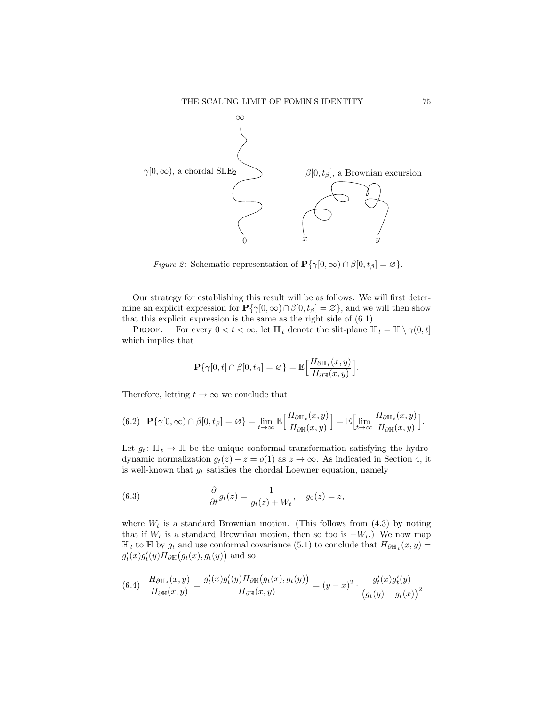

*Figure 2*: Schematic representation of  $\mathbf{P}\{\gamma[0,\infty) \cap \beta[0,t_\beta] = \varnothing\}.$ 

Our strategy for establishing this result will be as follows. We will first determine an explicit expression for  $\mathbf{P}\{\gamma[0,\infty)\cap\beta[0,t_\beta]=\varnothing\}$ , and we will then show that this explicit expression is the same as the right side of (6.1).

**PROOF.** For every  $0 < t < \infty$ , let  $\mathbb{H}_t$  denote the slit-plane  $\mathbb{H}_t = \mathbb{H} \setminus \gamma(0, t]$ which implies that

$$
\mathbf{P}\{\gamma[0,t]\cap\beta[0,t_\beta]=\varnothing\}=\mathbb{E}\Big[\frac{H_{\partial\mathbb{H}_t}(x,y)}{H_{\partial\mathbb{H}}(x,y)}\Big].
$$

Therefore, letting  $t \to \infty$  we conclude that

$$
(6.2) \quad \mathbf{P}\{\gamma[0,\infty)\cap\beta[0,t_{\beta}]=\varnothing\}=\lim_{t\to\infty}\mathbb{E}\Big[\frac{H_{\partial\mathbb{H}_t}(x,y)}{H_{\partial\mathbb{H}}(x,y)}\Big]=\mathbb{E}\Big[\lim_{t\to\infty}\frac{H_{\partial\mathbb{H}_t}(x,y)}{H_{\partial\mathbb{H}}(x,y)}\Big].
$$

Let  $g_t: \mathbb{H}_t \to \mathbb{H}$  be the unique conformal transformation satisfying the hydrodynamic normalization  $g_t(z) - z = o(1)$  as  $z \to \infty$ . As indicated in Section 4, it is well-known that  $g_t$  satisfies the chordal Loewner equation, namely

(6.3) 
$$
\frac{\partial}{\partial t}g_t(z) = \frac{1}{g_t(z) + W_t}, \quad g_0(z) = z,
$$

where  $W_t$  is a standard Brownian motion. (This follows from  $(4.3)$  by noting that if  $W_t$  is a standard Brownian motion, then so too is  $-W_t$ .) We now map  $\mathbb{H}_t$  to  $\mathbb{H}$  by  $g_t$  and use conformal covariance (5.1) to conclude that  $H_{\partial \mathbb{H}_t}(x, y) =$  $g_t'(x)g_t'(y)H_{\partial\mathbb{H}}(g_t(x),g_t(y))$  and so

$$
(6.4) \quad \frac{H_{\partial \mathbb{H}_t}(x,y)}{H_{\partial \mathbb{H}}(x,y)} = \frac{g'_t(x)g'_t(y)H_{\partial \mathbb{H}}(g_t(x), g_t(y))}{H_{\partial \mathbb{H}}(x,y)} = (y-x)^2 \cdot \frac{g'_t(x)g'_t(y)}{(g_t(y) - g_t(x))^2}
$$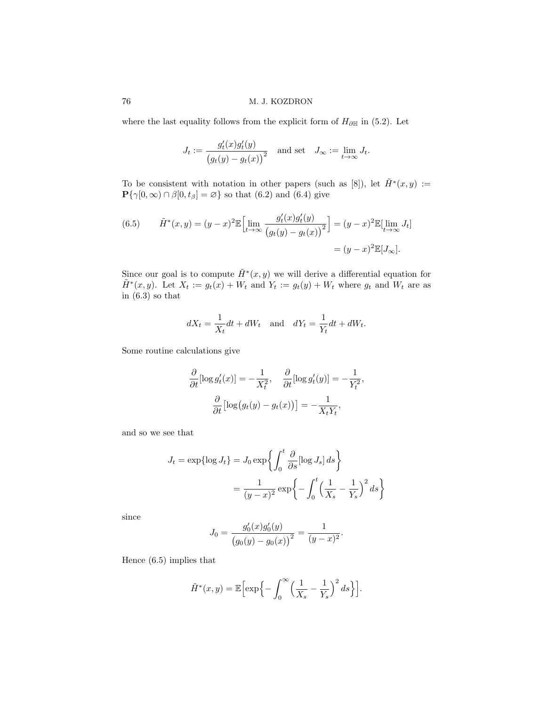where the last equality follows from the explicit form of  $H_{\partial \mathbb{H}}$  in (5.2). Let

$$
J_t := \frac{g'_t(x)g'_t(y)}{(g_t(y) - g_t(x))^2} \text{ and set } J_\infty := \lim_{t \to \infty} J_t.
$$

To be consistent with notation in other papers (such as [8]), let  $\tilde{H}^*(x,y) :=$  $\mathbf{P}\{\gamma[0,\infty)\cap\beta[0,t_\beta]=\varnothing\}$  so that  $(6.2)$  and  $(6.4)$  give

(6.5) 
$$
\tilde{H}^*(x, y) = (y - x)^2 \mathbb{E} \Big[ \lim_{t \to \infty} \frac{g'_t(x) g'_t(y)}{(g_t(y) - g_t(x))^2} \Big] = (y - x)^2 \mathbb{E} \Big[ \lim_{t \to \infty} J_t \Big] = (y - x)^2 \mathbb{E} \Big[ J_\infty \Big].
$$

Since our goal is to compute  $\tilde{H}^*(x, y)$  we will derive a differential equation for  $\tilde{H}^*(x, y)$ . Let  $X_t := g_t(x) + W_t$  and  $Y_t := g_t(y) + W_t$  where  $g_t$  and  $W_t$  are as in (6.3) so that

$$
dX_t = \frac{1}{X_t}dt + dW_t \quad \text{and} \quad dY_t = \frac{1}{Y_t}dt + dW_t.
$$

Some routine calculations give

$$
\frac{\partial}{\partial t}[\log g_t'(x)] = -\frac{1}{X_t^2}, \quad \frac{\partial}{\partial t}[\log g_t'(y)] = -\frac{1}{Y_t^2},
$$

$$
\frac{\partial}{\partial t}[\log (g_t(y) - g_t(x))] = -\frac{1}{X_t Y_t},
$$

and so we see that

$$
J_t = \exp\{\log J_t\} = J_0 \exp\left\{ \int_0^t \frac{\partial}{\partial s} [\log J_s] ds \right\}
$$

$$
= \frac{1}{(y - x)^2} \exp\left\{-\int_0^t \left(\frac{1}{X_s} - \frac{1}{Y_s}\right)^2 ds \right\}
$$

since

$$
J_0 = \frac{g'_0(x)g'_0(y)}{(g_0(y) - g_0(x))^2} = \frac{1}{(y-x)^2}.
$$

Hence (6.5) implies that

$$
\tilde{H}^*(x,y) = \mathbb{E}\Big[\exp\Big\{-\int_0^\infty \Big(\frac{1}{X_s}-\frac{1}{Y_s}\Big)^2\,ds\Big\}\Big].
$$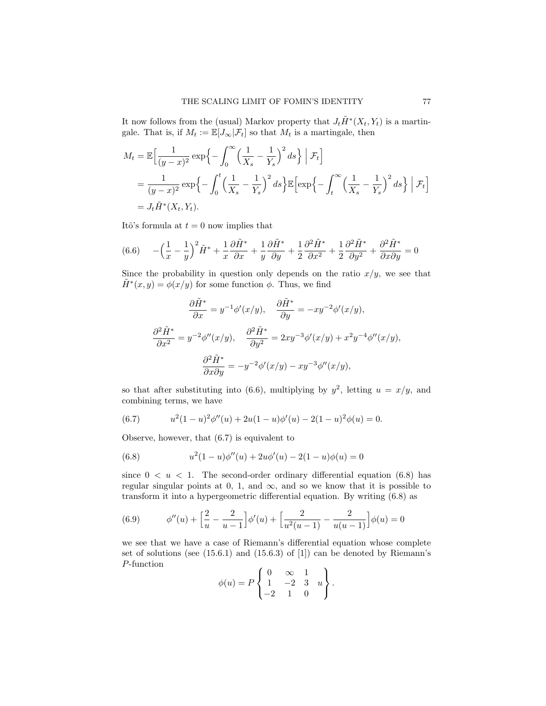It now follows from the (usual) Markov property that  $J_t\tilde{H}^*(X_t,Y_t)$  is a martingale. That is, if  $M_t := \mathbb{E}[J_{\infty}|\mathcal{F}_t]$  so that  $M_t$  is a martingale, then

$$
M_t = \mathbb{E}\Big[\frac{1}{(y-x)^2} \exp\Big\{-\int_0^\infty \Big(\frac{1}{X_s} - \frac{1}{Y_s}\Big)^2 ds\Big\} \Big| \mathcal{F}_t\Big]
$$
  
= 
$$
\frac{1}{(y-x)^2} \exp\Big\{-\int_0^t \Big(\frac{1}{X_s} - \frac{1}{Y_s}\Big)^2 ds\Big\} \mathbb{E}\Big[\exp\Big\{-\int_t^\infty \Big(\frac{1}{X_s} - \frac{1}{Y_s}\Big)^2 ds\Big\} \Big| \mathcal{F}_t\Big]
$$
  
= 
$$
J_t \tilde{H}^*(X_t, Y_t).
$$

Itô's formula at  $t = 0$  now implies that

(6.6) 
$$
-\left(\frac{1}{x} - \frac{1}{y}\right)^2 \tilde{H}^* + \frac{1}{x} \frac{\partial \tilde{H}^*}{\partial x} + \frac{1}{y} \frac{\partial \tilde{H}^*}{\partial y} + \frac{1}{2} \frac{\partial^2 \tilde{H}^*}{\partial x^2} + \frac{1}{2} \frac{\partial^2 \tilde{H}^*}{\partial y^2} + \frac{\partial^2 \tilde{H}^*}{\partial x \partial y} = 0
$$

Since the probability in question only depends on the ratio  $x/y$ , we see that  $\tilde{H}^*(x, y) = \phi(x/y)$  for some function  $\phi$ . Thus, we find

$$
\frac{\partial \tilde{H}^*}{\partial x} = y^{-1} \phi'(x/y), \quad \frac{\partial \tilde{H}^*}{\partial y} = -xy^{-2} \phi'(x/y),
$$

$$
\frac{\partial^2 \tilde{H}^*}{\partial x^2} = y^{-2} \phi''(x/y), \quad \frac{\partial^2 \tilde{H}^*}{\partial y^2} = 2xy^{-3} \phi'(x/y) + x^2 y^{-4} \phi''(x/y),
$$

$$
\frac{\partial^2 \tilde{H}^*}{\partial x \partial y} = -y^{-2} \phi'(x/y) - xy^{-3} \phi''(x/y),
$$

so that after substituting into (6.6), multiplying by  $y^2$ , letting  $u = x/y$ , and combining terms, we have

(6.7) 
$$
u^{2}(1-u)^{2}\phi''(u) + 2u(1-u)\phi'(u) - 2(1-u)^{2}\phi(u) = 0.
$$

Observe, however, that (6.7) is equivalent to

(6.8) 
$$
u^{2}(1-u)\phi''(u) + 2u\phi'(u) - 2(1-u)\phi(u) = 0
$$

since  $0 \lt u \lt 1$ . The second-order ordinary differential equation (6.8) has regular singular points at 0, 1, and  $\infty$ , and so we know that it is possible to transform it into a hypergeometric differential equation. By writing (6.8) as

(6.9) 
$$
\phi''(u) + \left[\frac{2}{u} - \frac{2}{u-1}\right] \phi'(u) + \left[\frac{2}{u^2(u-1)} - \frac{2}{u(u-1)}\right] \phi(u) = 0
$$

we see that we have a case of Riemann's differential equation whose complete set of solutions (see (15.6.1) and (15.6.3) of [1]) can be denoted by Riemann's P-function

$$
\phi(u) = P\begin{Bmatrix} 0 & \infty & 1 \\ 1 & -2 & 3 & u \\ -2 & 1 & 0 \end{Bmatrix}.
$$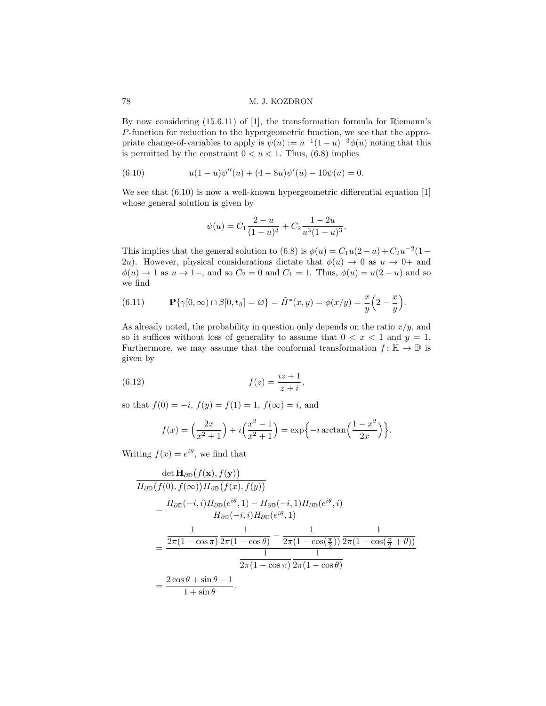By now considering (15.6.11) of [1], the transformation formula for Riemann's P-function for reduction to the hypergeometric function, we see that the appropriate change-of-variables to apply is  $\psi(u) := u^{-1}(1-u)^{-3}\phi(u)$  noting that this is permitted by the constraint  $0 < u < 1$ . Thus, (6.8) implies

(6.10) 
$$
u(1-u)\psi''(u) + (4-8u)\psi'(u) - 10\psi(u) = 0.
$$

We see that  $(6.10)$  is now a well-known hypergeometric differential equation [1] whose general solution is given by

$$
\psi(u) = C_1 \frac{2-u}{(1-u)^3} + C_2 \frac{1-2u}{u^3(1-u)^3}.
$$

This implies that the general solution to (6.8) is  $\phi(u) = C_1 u(2-u) + C_2 u^{-2} (1-u)$ 2u). However, physical considerations dictate that  $\phi(u) \to 0$  as  $u \to 0^+$  and  $\phi(u) \to 1$  as  $u \to 1$ –, and so  $C_2 = 0$  and  $C_1 = 1$ . Thus,  $\phi(u) = u(2 - u)$  and so we find

(6.11) 
$$
\mathbf{P}\{\gamma[0,\infty) \cap \beta[0,t_{\beta}] = \varnothing\} = \tilde{H}^*(x,y) = \phi(x/y) = \frac{x}{y}\left(2-\frac{x}{y}\right).
$$

As already noted, the probability in question only depends on the ratio  $x/y$ , and so it suffices without loss of generality to assume that  $0 < x < 1$  and  $y = 1$ . Furthermore, we may assume that the conformal transformation  $f: \mathbb{H} \to \mathbb{D}$  is given by

(6.12) 
$$
f(z) = \frac{iz+1}{z+i},
$$

so that  $f(0) = -i$ ,  $f(y) = f(1) = 1$ ,  $f(\infty) = i$ , and

$$
f(x) = \left(\frac{2x}{x^2 + 1}\right) + i\left(\frac{x^2 - 1}{x^2 + 1}\right) = \exp\{-i\arctan\left(\frac{1 - x^2}{2x}\right)\}.
$$

Writing  $f(x) = e^{i\theta}$ , we find that

$$
\frac{\det \mathbf{H}_{\partial \mathbb{D}}(f(\mathbf{x}), f(\mathbf{y}))}{H_{\partial \mathbb{D}}(f(0), f(\infty))H_{\partial \mathbb{D}}(f(x), f(y))}
$$
\n
$$
=\frac{H_{\partial \mathbb{D}}(-i, i)H_{\partial \mathbb{D}}(e^{i\theta}, 1) - H_{\partial \mathbb{D}}(-i, 1)H_{\partial \mathbb{D}}(e^{i\theta}, i)}{H_{\partial \mathbb{D}}(-i, i)H_{\partial \mathbb{D}}(e^{i\theta}, 1)}
$$
\n
$$
=\frac{\frac{1}{2\pi(1 - \cos \pi)} \frac{1}{2\pi(1 - \cos \theta)} - \frac{1}{2\pi(1 - \cos(\frac{\pi}{2}))} \frac{1}{2\pi(1 - \cos(\frac{\pi}{2} + \theta))}}{\frac{1}{2\pi(1 - \cos \theta)} \frac{1}{2\pi(1 - \cos \theta)}}
$$
\n
$$
=\frac{2 \cos \theta + \sin \theta - 1}{1 + \sin \theta}.
$$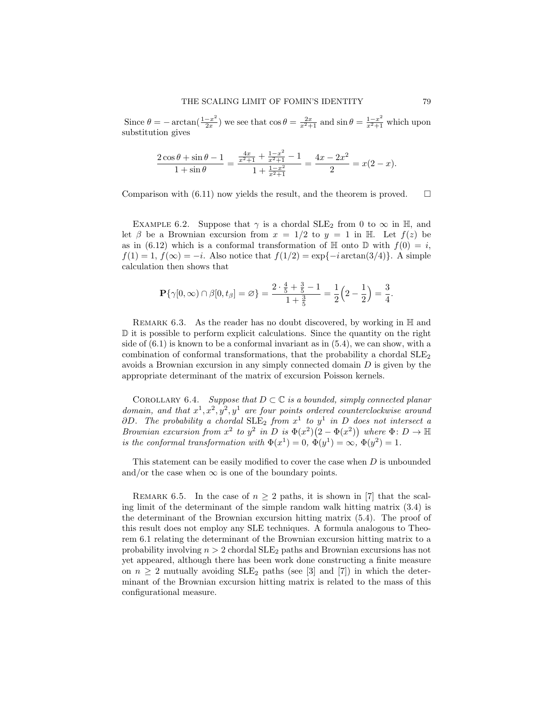Since  $\theta = -\arctan(\frac{1-x^2}{2x})$  $\frac{-x^2}{2x}$ ) we see that  $\cos \theta = \frac{2x}{x^2+1}$  and  $\sin \theta = \frac{1-x^2}{x^2+1}$  which upon substitution gives

$$
\frac{2\cos\theta + \sin\theta - 1}{1 + \sin\theta} = \frac{\frac{4x}{x^2 + 1} + \frac{1 - x^2}{x^2 + 1} - 1}{1 + \frac{1 - x^2}{x^2 + 1}} = \frac{4x - 2x^2}{2} = x(2 - x).
$$

Comparison with  $(6.11)$  now yields the result, and the theorem is proved.  $\Box$ 

EXAMPLE 6.2. Suppose that  $\gamma$  is a chordal SLE<sub>2</sub> from 0 to  $\infty$  in H, and let  $\beta$  be a Brownian excursion from  $x = 1/2$  to  $y = 1$  in H. Let  $f(z)$  be as in (6.12) which is a conformal transformation of  $\mathbb H$  onto  $\mathbb D$  with  $f(0) = i$ ,  $f(1) = 1$ ,  $f(\infty) = -i$ . Also notice that  $f(1/2) = \exp\{-i \arctan(3/4)\}\.$  A simple calculation then shows that

$$
\mathbf{P}\{\gamma[0,\infty) \cap \beta[0,t_{\beta}]=\varnothing\} = \frac{2 \cdot \frac{4}{5} + \frac{3}{5} - 1}{1 + \frac{3}{5}} = \frac{1}{2}\left(2 - \frac{1}{2}\right) = \frac{3}{4}.
$$

REMARK 6.3. As the reader has no doubt discovered, by working in  $\mathbb H$  and D it is possible to perform explicit calculations. Since the quantity on the right side of  $(6.1)$  is known to be a conformal invariant as in  $(5.4)$ , we can show, with a combination of conformal transformations, that the probability a chordal  $\text{SLE}_2$ avoids a Brownian excursion in any simply connected domain  $D$  is given by the appropriate determinant of the matrix of excursion Poisson kernels.

COROLLARY 6.4. Suppose that  $D \subset \mathbb{C}$  is a bounded, simply connected planar domain, and that  $x^1, x^2, y^2, y^1$  are four points ordered counterclockwise around  $\partial D$ . The probability a chordal  $\text{SLE}_2$  from  $x^1$  to  $y^1$  in D does not intersect a Brownian excursion from  $x^2$  to  $y^2$  in D is  $\Phi(x^2)(2-\Phi(x^2))$  where  $\Phi: D \to \mathbb{H}$ is the conformal transformation with  $\Phi(x^1) = 0$ ,  $\Phi(y^1) = \infty$ ,  $\Phi(y^2) = 1$ .

This statement can be easily modified to cover the case when D is unbounded and/or the case when  $\infty$  is one of the boundary points.

REMARK 6.5. In the case of  $n \geq 2$  paths, it is shown in [7] that the scaling limit of the determinant of the simple random walk hitting matrix (3.4) is the determinant of the Brownian excursion hitting matrix (5.4). The proof of this result does not employ any SLE techniques. A formula analogous to Theorem 6.1 relating the determinant of the Brownian excursion hitting matrix to a probability involving  $n > 2$  chordal  $SLE_2$  paths and Brownian excursions has not yet appeared, although there has been work done constructing a finite measure on  $n \geq 2$  mutually avoiding  $SLE_2$  paths (see [3] and [7]) in which the determinant of the Brownian excursion hitting matrix is related to the mass of this configurational measure.